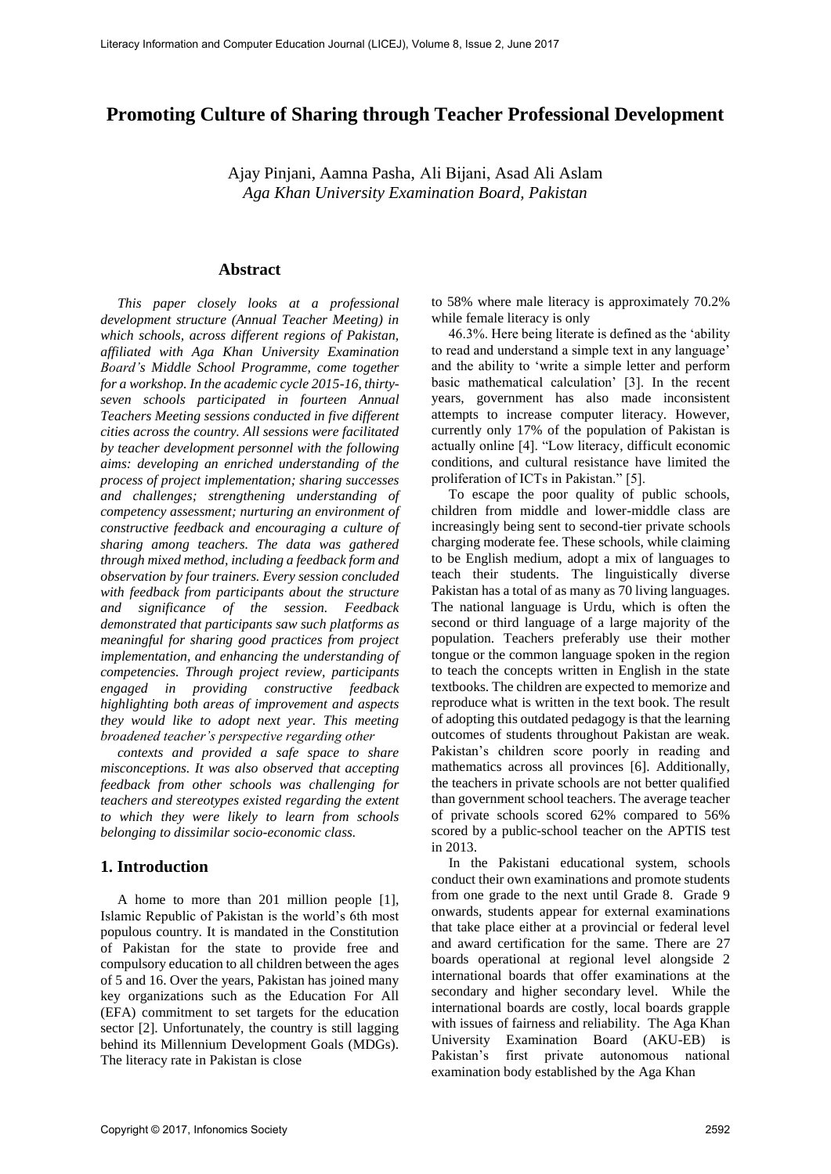# **Promoting Culture of Sharing through Teacher Professional Development**

Ajay Pinjani, Aamna Pasha, Ali Bijani, Asad Ali Aslam *Aga Khan University Examination Board, Pakistan* 

#### **Abstract**

*This paper closely looks at a professional development structure (Annual Teacher Meeting) in which schools, across different regions of Pakistan, affiliated with Aga Khan University Examination Board's Middle School Programme, come together for a workshop. In the academic cycle 2015-16, thirtyseven schools participated in fourteen Annual Teachers Meeting sessions conducted in five different cities across the country. All sessions were facilitated by teacher development personnel with the following aims: developing an enriched understanding of the process of project implementation; sharing successes and challenges; strengthening understanding of competency assessment; nurturing an environment of constructive feedback and encouraging a culture of sharing among teachers. The data was gathered through mixed method, including a feedback form and observation by four trainers. Every session concluded with feedback from participants about the structure and significance of the session. Feedback demonstrated that participants saw such platforms as meaningful for sharing good practices from project implementation, and enhancing the understanding of competencies. Through project review, participants engaged in providing constructive feedback highlighting both areas of improvement and aspects they would like to adopt next year. This meeting broadened teacher's perspective regarding other* 

*contexts and provided a safe space to share misconceptions. It was also observed that accepting feedback from other schools was challenging for teachers and stereotypes existed regarding the extent to which they were likely to learn from schools belonging to dissimilar socio-economic class.* 

### **1. Introduction**

A home to more than 201 million people [1], Islamic Republic of Pakistan is the world's 6th most populous country. It is mandated in the Constitution of Pakistan for the state to provide free and compulsory education to all children between the ages of 5 and 16. Over the years, Pakistan has joined many key organizations such as the Education For All (EFA) commitment to set targets for the education sector [2]. Unfortunately, the country is still lagging behind its Millennium Development Goals (MDGs). The literacy rate in Pakistan is close

to 58% where male literacy is approximately 70.2% while female literacy is only

46.3%. Here being literate is defined as the 'ability to read and understand a simple text in any language' and the ability to 'write a simple letter and perform basic mathematical calculation' [3]. In the recent years, government has also made inconsistent attempts to increase computer literacy. However, currently only 17% of the population of Pakistan is actually online [4]. "Low literacy, difficult economic conditions, and cultural resistance have limited the proliferation of ICTs in Pakistan." [5].

To escape the poor quality of public schools, children from middle and lower-middle class are increasingly being sent to second-tier private schools charging moderate fee. These schools, while claiming to be English medium, adopt a mix of languages to teach their students. The linguistically diverse Pakistan has a total of as many as 70 living languages. The national language is Urdu, which is often the second or third language of a large majority of the population. Teachers preferably use their mother tongue or the common language spoken in the region to teach the concepts written in English in the state textbooks. The children are expected to memorize and reproduce what is written in the text book. The result of adopting this outdated pedagogy is that the learning outcomes of students throughout Pakistan are weak. Pakistan's children score poorly in reading and mathematics across all provinces [6]. Additionally, the teachers in private schools are not better qualified than government school teachers. The average teacher of private schools scored 62% compared to 56% scored by a public-school teacher on the APTIS test in 2013.

In the Pakistani educational system, schools conduct their own examinations and promote students from one grade to the next until Grade 8. Grade 9 onwards, students appear for external examinations that take place either at a provincial or federal level and award certification for the same. There are 27 boards operational at regional level alongside 2 international boards that offer examinations at the secondary and higher secondary level. While the international boards are costly, local boards grapple with issues of fairness and reliability. The Aga Khan University Examination Board (AKU-EB) is Pakistan's first private autonomous national examination body established by the Aga Khan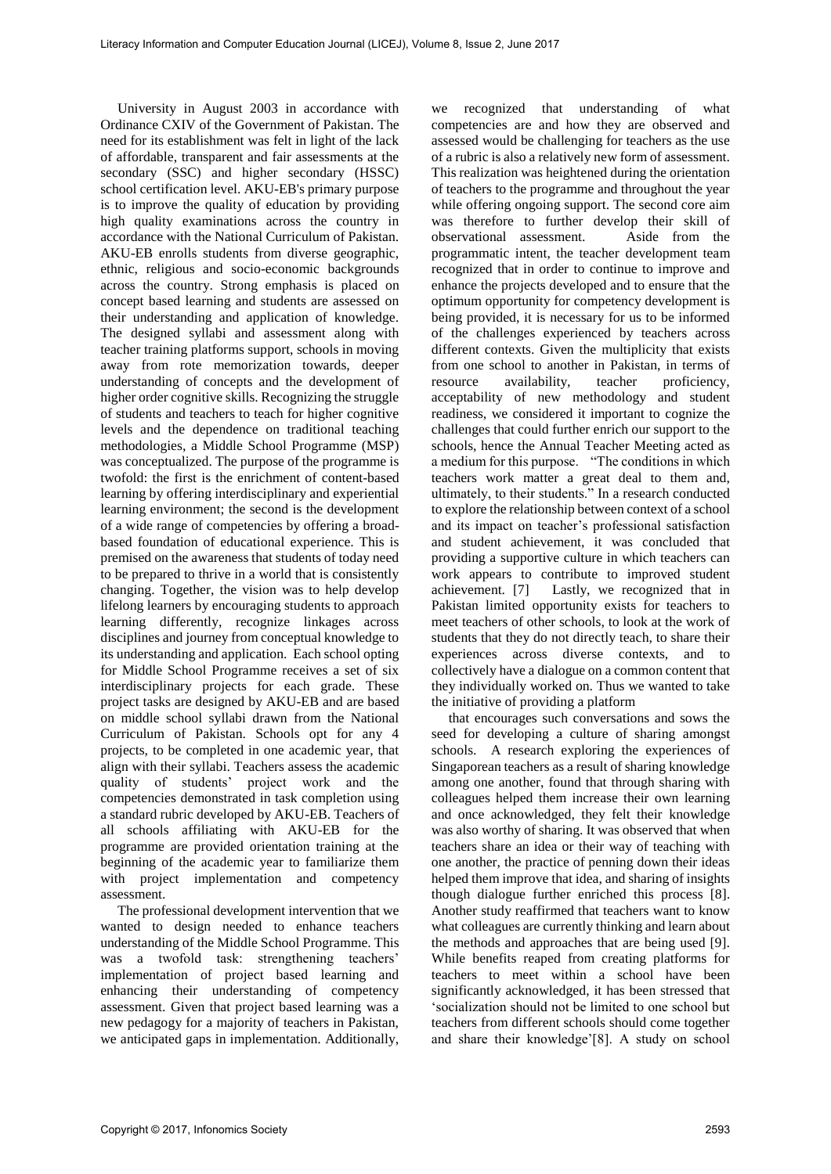University in August 2003 in accordance with Ordinance CXIV of the Government of Pakistan. The need for its establishment was felt in light of the lack of affordable, transparent and fair assessments at the secondary (SSC) and higher secondary (HSSC) school certification level. AKU-EB's primary purpose is to improve the quality of education by providing high quality examinations across the country in accordance with the National Curriculum of Pakistan. AKU-EB enrolls students from diverse geographic, ethnic, religious and socio-economic backgrounds across the country. Strong emphasis is placed on concept based learning and students are assessed on their understanding and application of knowledge. The designed syllabi and assessment along with teacher training platforms support, schools in moving away from rote memorization towards, deeper understanding of concepts and the development of higher order cognitive skills. Recognizing the struggle of students and teachers to teach for higher cognitive levels and the dependence on traditional teaching methodologies, a Middle School Programme (MSP) was conceptualized. The purpose of the programme is twofold: the first is the enrichment of content-based learning by offering interdisciplinary and experiential learning environment; the second is the development of a wide range of competencies by offering a broadbased foundation of educational experience. This is premised on the awareness that students of today need to be prepared to thrive in a world that is consistently changing. Together, the vision was to help develop lifelong learners by encouraging students to approach learning differently, recognize linkages across disciplines and journey from conceptual knowledge to its understanding and application. Each school opting for Middle School Programme receives a set of six interdisciplinary projects for each grade. These project tasks are designed by AKU-EB and are based on middle school syllabi drawn from the National Curriculum of Pakistan. Schools opt for any 4 projects, to be completed in one academic year, that align with their syllabi. Teachers assess the academic quality of students' project work and the competencies demonstrated in task completion using a standard rubric developed by AKU-EB. Teachers of all schools affiliating with AKU-EB for the programme are provided orientation training at the beginning of the academic year to familiarize them with project implementation and competency assessment.

The professional development intervention that we wanted to design needed to enhance teachers understanding of the Middle School Programme. This was a twofold task: strengthening teachers' implementation of project based learning and enhancing their understanding of competency assessment. Given that project based learning was a new pedagogy for a majority of teachers in Pakistan, we anticipated gaps in implementation. Additionally,

we recognized that understanding of what competencies are and how they are observed and assessed would be challenging for teachers as the use of a rubric is also a relatively new form of assessment. This realization was heightened during the orientation of teachers to the programme and throughout the year while offering ongoing support. The second core aim was therefore to further develop their skill of observational assessment. Aside from the programmatic intent, the teacher development team recognized that in order to continue to improve and enhance the projects developed and to ensure that the optimum opportunity for competency development is being provided, it is necessary for us to be informed of the challenges experienced by teachers across different contexts. Given the multiplicity that exists from one school to another in Pakistan, in terms of resource availability, teacher proficiency, acceptability of new methodology and student readiness, we considered it important to cognize the challenges that could further enrich our support to the schools, hence the Annual Teacher Meeting acted as a medium for this purpose. "The conditions in which teachers work matter a great deal to them and, ultimately, to their students." In a research conducted to explore the relationship between context of a school and its impact on teacher's professional satisfaction and student achievement, it was concluded that providing a supportive culture in which teachers can work appears to contribute to improved student achievement. [7] Lastly, we recognized that in Pakistan limited opportunity exists for teachers to meet teachers of other schools, to look at the work of students that they do not directly teach, to share their experiences across diverse contexts, and to collectively have a dialogue on a common content that they individually worked on. Thus we wanted to take the initiative of providing a platform

that encourages such conversations and sows the seed for developing a culture of sharing amongst schools. A research exploring the experiences of Singaporean teachers as a result of sharing knowledge among one another, found that through sharing with colleagues helped them increase their own learning and once acknowledged, they felt their knowledge was also worthy of sharing. It was observed that when teachers share an idea or their way of teaching with one another, the practice of penning down their ideas helped them improve that idea, and sharing of insights though dialogue further enriched this process [8]. Another study reaffirmed that teachers want to know what colleagues are currently thinking and learn about the methods and approaches that are being used [9]. While benefits reaped from creating platforms for teachers to meet within a school have been significantly acknowledged, it has been stressed that 'socialization should not be limited to one school but teachers from different schools should come together and share their knowledge'[8]. A study on school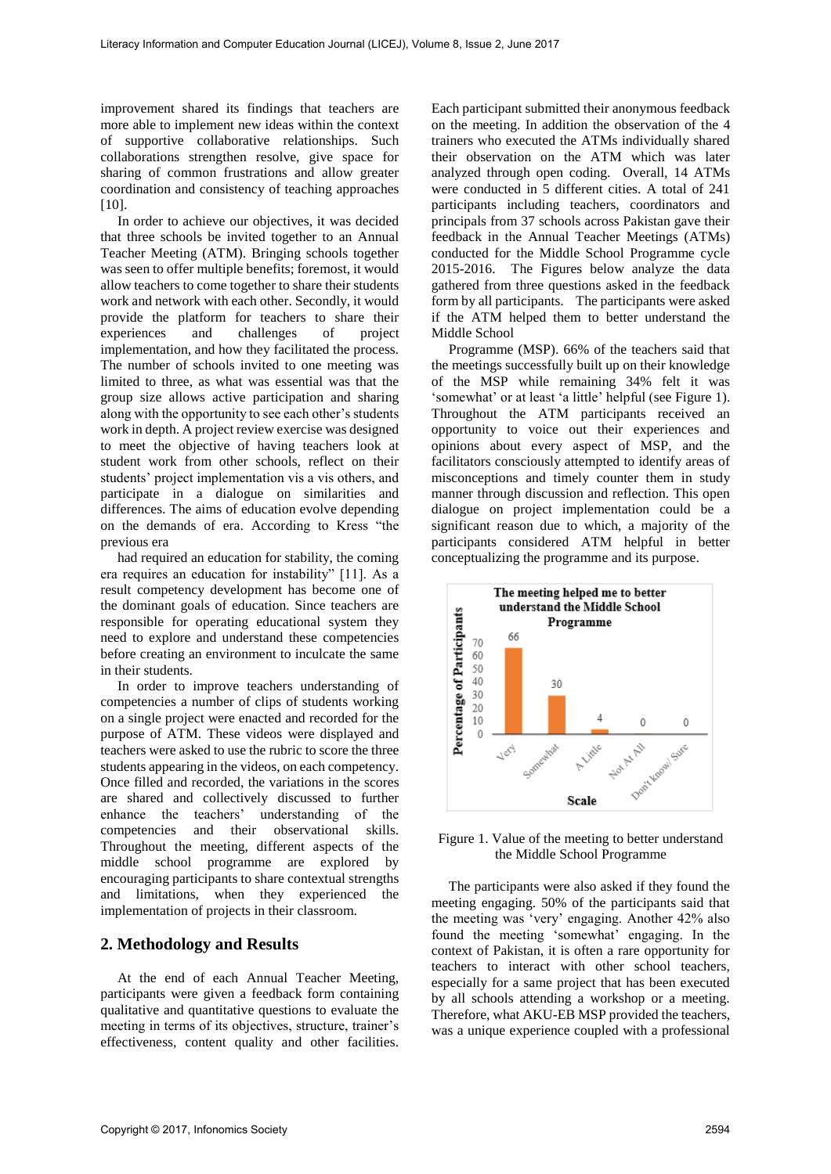improvement shared its findings that teachers are more able to implement new ideas within the context of supportive collaborative relationships. Such collaborations strengthen resolve, give space for sharing of common frustrations and allow greater coordination and consistency of teaching approaches [10].

In order to achieve our objectives, it was decided that three schools be invited together to an Annual Teacher Meeting (ATM). Bringing schools together was seen to offer multiple benefits; foremost, it would allow teachers to come together to share their students work and network with each other. Secondly, it would provide the platform for teachers to share their<br>experiences and challenges of project experiences and challenges of implementation, and how they facilitated the process. The number of schools invited to one meeting was limited to three, as what was essential was that the group size allows active participation and sharing along with the opportunity to see each other's students work in depth. A project review exercise was designed to meet the objective of having teachers look at student work from other schools, reflect on their students' project implementation vis a vis others, and participate in a dialogue on similarities and differences. The aims of education evolve depending on the demands of era. According to Kress "the previous era

had required an education for stability, the coming era requires an education for instability" [11]. As a result competency development has become one of the dominant goals of education. Since teachers are responsible for operating educational system they need to explore and understand these competencies before creating an environment to inculcate the same in their students.

In order to improve teachers understanding of competencies a number of clips of students working on a single project were enacted and recorded for the purpose of ATM. These videos were displayed and teachers were asked to use the rubric to score the three students appearing in the videos, on each competency. Once filled and recorded, the variations in the scores are shared and collectively discussed to further enhance the teachers' understanding of the competencies and their observational skills. Throughout the meeting, different aspects of the middle school programme are explored by encouraging participants to share contextual strengths and limitations, when they experienced the implementation of projects in their classroom.

# **2. Methodology and Results**

At the end of each Annual Teacher Meeting, participants were given a feedback form containing qualitative and quantitative questions to evaluate the meeting in terms of its objectives, structure, trainer's effectiveness, content quality and other facilities.

Each participant submitted their anonymous feedback on the meeting. In addition the observation of the 4 trainers who executed the ATMs individually shared their observation on the ATM which was later analyzed through open coding. Overall, 14 ATMs were conducted in 5 different cities. A total of 241 participants including teachers, coordinators and principals from 37 schools across Pakistan gave their feedback in the Annual Teacher Meetings (ATMs) conducted for the Middle School Programme cycle 2015-2016. The Figures below analyze the data gathered from three questions asked in the feedback form by all participants. The participants were asked if the ATM helped them to better understand the Middle School

Programme (MSP). 66% of the teachers said that the meetings successfully built up on their knowledge of the MSP while remaining 34% felt it was 'somewhat' or at least 'a little' helpful (see Figure 1). Throughout the ATM participants received an opportunity to voice out their experiences and opinions about every aspect of MSP, and the facilitators consciously attempted to identify areas of misconceptions and timely counter them in study manner through discussion and reflection. This open dialogue on project implementation could be a significant reason due to which, a majority of the participants considered ATM helpful in better conceptualizing the programme and its purpose.



Figure 1. Value of the meeting to better understand the Middle School Programme

The participants were also asked if they found the meeting engaging. 50% of the participants said that the meeting was 'very' engaging. Another 42% also found the meeting 'somewhat' engaging. In the context of Pakistan, it is often a rare opportunity for teachers to interact with other school teachers, especially for a same project that has been executed by all schools attending a workshop or a meeting. Therefore, what AKU-EB MSP provided the teachers, was a unique experience coupled with a professional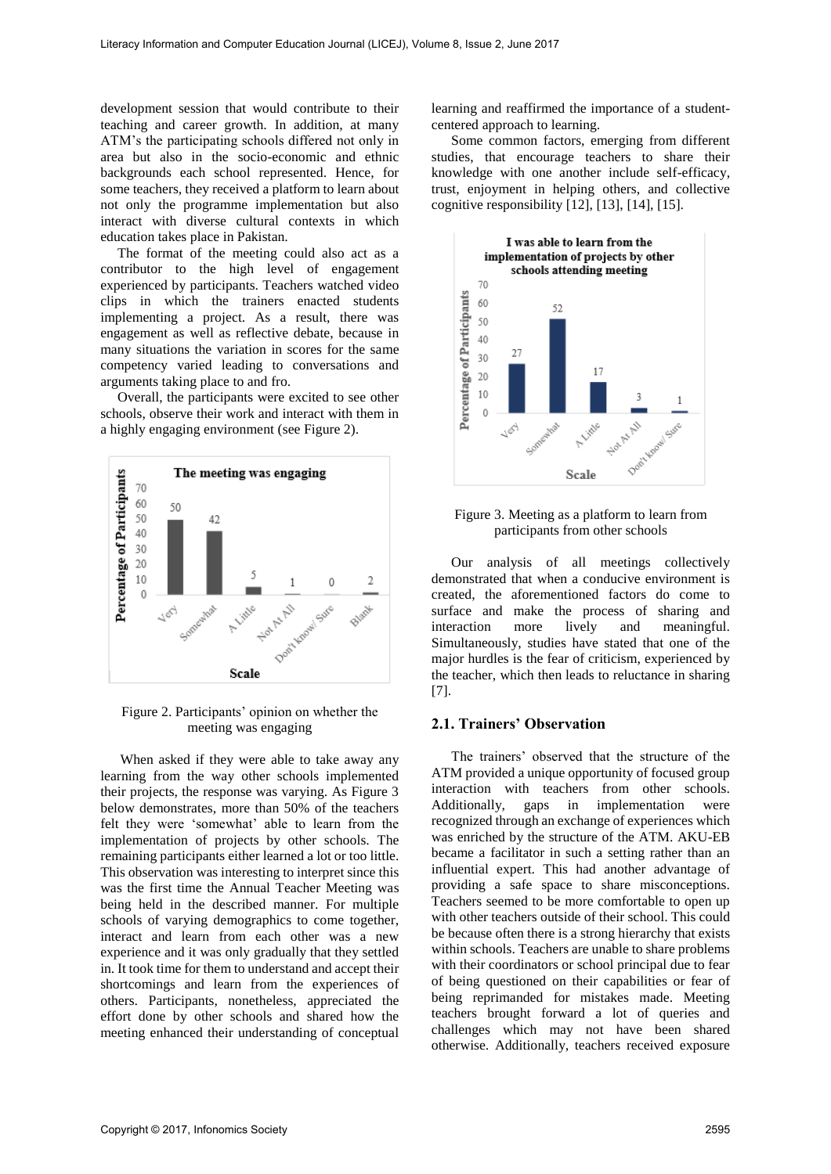development session that would contribute to their teaching and career growth. In addition, at many ATM's the participating schools differed not only in area but also in the socio-economic and ethnic backgrounds each school represented. Hence, for some teachers, they received a platform to learn about not only the programme implementation but also interact with diverse cultural contexts in which education takes place in Pakistan.

The format of the meeting could also act as a contributor to the high level of engagement experienced by participants. Teachers watched video clips in which the trainers enacted students implementing a project. As a result, there was engagement as well as reflective debate, because in many situations the variation in scores for the same competency varied leading to conversations and arguments taking place to and fro.

Overall, the participants were excited to see other schools, observe their work and interact with them in a highly engaging environment (see Figure 2).



Figure 2. Participants' opinion on whether the meeting was engaging

When asked if they were able to take away any learning from the way other schools implemented their projects, the response was varying. As Figure 3 below demonstrates, more than 50% of the teachers felt they were 'somewhat' able to learn from the implementation of projects by other schools. The remaining participants either learned a lot or too little. This observation was interesting to interpret since this was the first time the Annual Teacher Meeting was being held in the described manner. For multiple schools of varying demographics to come together, interact and learn from each other was a new experience and it was only gradually that they settled in. It took time for them to understand and accept their shortcomings and learn from the experiences of others. Participants, nonetheless, appreciated the effort done by other schools and shared how the meeting enhanced their understanding of conceptual

learning and reaffirmed the importance of a studentcentered approach to learning.

Some common factors, emerging from different studies, that encourage teachers to share their knowledge with one another include self-efficacy, trust, enjoyment in helping others, and collective cognitive responsibility [12], [13], [14], [15].





Our analysis of all meetings collectively demonstrated that when a conducive environment is created, the aforementioned factors do come to surface and make the process of sharing and interaction more lively and meaningful. Simultaneously, studies have stated that one of the major hurdles is the fear of criticism, experienced by the teacher, which then leads to reluctance in sharing [7].

### **2.1. Trainers' Observation**

The trainers' observed that the structure of the ATM provided a unique opportunity of focused group interaction with teachers from other schools. Additionally, gaps in implementation were recognized through an exchange of experiences which was enriched by the structure of the ATM. AKU-EB became a facilitator in such a setting rather than an influential expert. This had another advantage of providing a safe space to share misconceptions. Teachers seemed to be more comfortable to open up with other teachers outside of their school. This could be because often there is a strong hierarchy that exists within schools. Teachers are unable to share problems with their coordinators or school principal due to fear of being questioned on their capabilities or fear of being reprimanded for mistakes made. Meeting teachers brought forward a lot of queries and challenges which may not have been shared otherwise. Additionally, teachers received exposure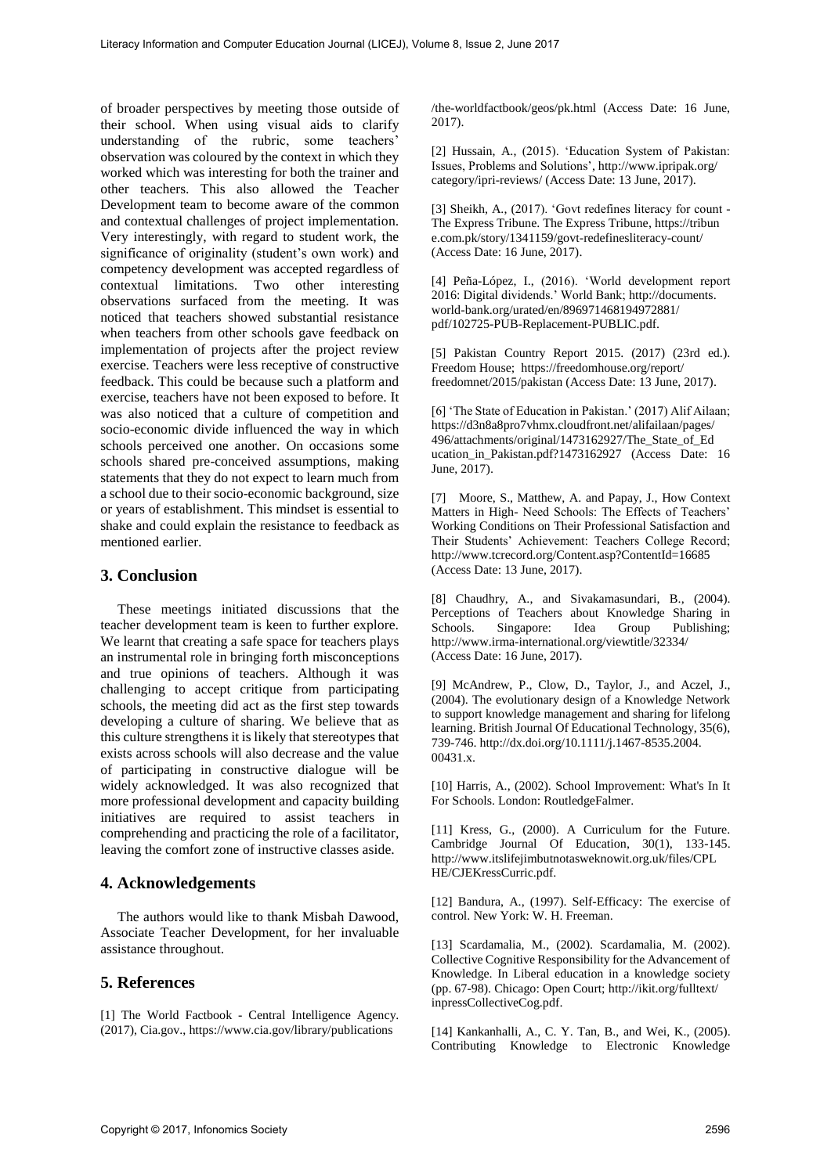of broader perspectives by meeting those outside of their school. When using visual aids to clarify understanding of the rubric, some teachers' observation was coloured by the context in which they worked which was interesting for both the trainer and other teachers. This also allowed the Teacher Development team to become aware of the common and contextual challenges of project implementation. Very interestingly, with regard to student work, the significance of originality (student's own work) and competency development was accepted regardless of contextual limitations. Two other interesting observations surfaced from the meeting. It was noticed that teachers showed substantial resistance when teachers from other schools gave feedback on implementation of projects after the project review exercise. Teachers were less receptive of constructive feedback. This could be because such a platform and exercise, teachers have not been exposed to before. It was also noticed that a culture of competition and socio-economic divide influenced the way in which schools perceived one another. On occasions some schools shared pre-conceived assumptions, making statements that they do not expect to learn much from a school due to their socio-economic background, size or years of establishment. This mindset is essential to shake and could explain the resistance to feedback as mentioned earlier.

# **3. Conclusion**

These meetings initiated discussions that the teacher development team is keen to further explore. We learnt that creating a safe space for teachers plays an instrumental role in bringing forth misconceptions and true opinions of teachers. Although it was challenging to accept critique from participating schools, the meeting did act as the first step towards developing a culture of sharing. We believe that as this culture strengthens it is likely that stereotypes that exists across schools will also decrease and the value of participating in constructive dialogue will be widely acknowledged. It was also recognized that more professional development and capacity building initiatives are required to assist teachers in comprehending and practicing the role of a facilitator, leaving the comfort zone of instructive classes aside.

#### **4. Acknowledgements**

The authors would like to thank Misbah Dawood, Associate Teacher Development, for her invaluable assistance throughout.

# **5. References**

[1] The World Factbook - Central Intelligence Agency. (2017), Cia.gov., https://www.cia.gov/library/publications

/the-worldfactbook/geos/pk.html (Access Date: 16 June, 2017).

[2] Hussain, A., (2015). 'Education System of Pakistan: Issues, Problems and Solutions', http://www.ipripak.org/ category/ipri-reviews/ (Access Date: 13 June, 2017).

[3] Sheikh, A., (2017). 'Govt redefines literacy for count - The Express Tribune. The Express Tribune, https://tribun e.com.pk/story/1341159/govt-redefinesliteracy-count/ (Access Date: 16 June, 2017).

[4] Peña-López, I., (2016). 'World development report 2016: Digital dividends.' World Bank; http://documents. world-bank.org/urated/en/896971468194972881/ pdf/102725-PUB-Replacement-PUBLIC.pdf.

[5] Pakistan Country Report 2015. (2017) (23rd ed.). Freedom House; https://freedomhouse.org/report/ freedomnet/2015/pakistan (Access Date: 13 June, 2017).

[6] 'The State of Education in Pakistan.' (2017) Alif Ailaan; https://d3n8a8pro7vhmx.cloudfront.net/alifailaan/pages/ 496/attachments/original/1473162927/The\_State\_of\_Ed ucation\_in\_Pakistan.pdf?1473162927 (Access Date: 16 June, 2017).

[7] Moore, S., Matthew, A. and Papay, J., How Context Matters in High- Need Schools: The Effects of Teachers' Working Conditions on Their Professional Satisfaction and Their Students' Achievement: Teachers College Record; http://www.tcrecord.org/Content.asp?ContentId=16685 (Access Date: 13 June, 2017).

[8] Chaudhry, A., and Sivakamasundari, B., (2004). Perceptions of Teachers about Knowledge Sharing in Schools. Singapore: Idea Group Publishing; Schools. Singapore: Idea Group http://www.irma-international.org/viewtitle/32334/ (Access Date: 16 June, 2017).

[9] McAndrew, P., Clow, D., Taylor, J., and Aczel, J., (2004). The evolutionary design of a Knowledge Network to support knowledge management and sharing for lifelong learning. British Journal Of Educational Technology, 35(6), 739-746. http://dx.doi.org/10.1111/j.1467-8535.2004. 00431.x.

[10] Harris, A., (2002). School Improvement: What's In It For Schools. London: RoutledgeFalmer.

[11] Kress, G., (2000). A Curriculum for the Future. Cambridge Journal Of Education, 30(1), 133-145. http://www.itslifejimbutnotasweknowit.org.uk/files/CPL HE/CJEKressCurric.pdf.

[12] Bandura, A., (1997). Self-Efficacy: The exercise of control. New York: W. H. Freeman.

[13] Scardamalia, M., (2002). Scardamalia, M. (2002). Collective Cognitive Responsibility for the Advancement of Knowledge. In Liberal education in a knowledge society (pp. 67-98). Chicago: Open Court; http://ikit.org/fulltext/ inpressCollectiveCog.pdf.

[14] Kankanhalli, A., C. Y. Tan, B., and Wei, K., (2005). Contributing Knowledge to Electronic Knowledge